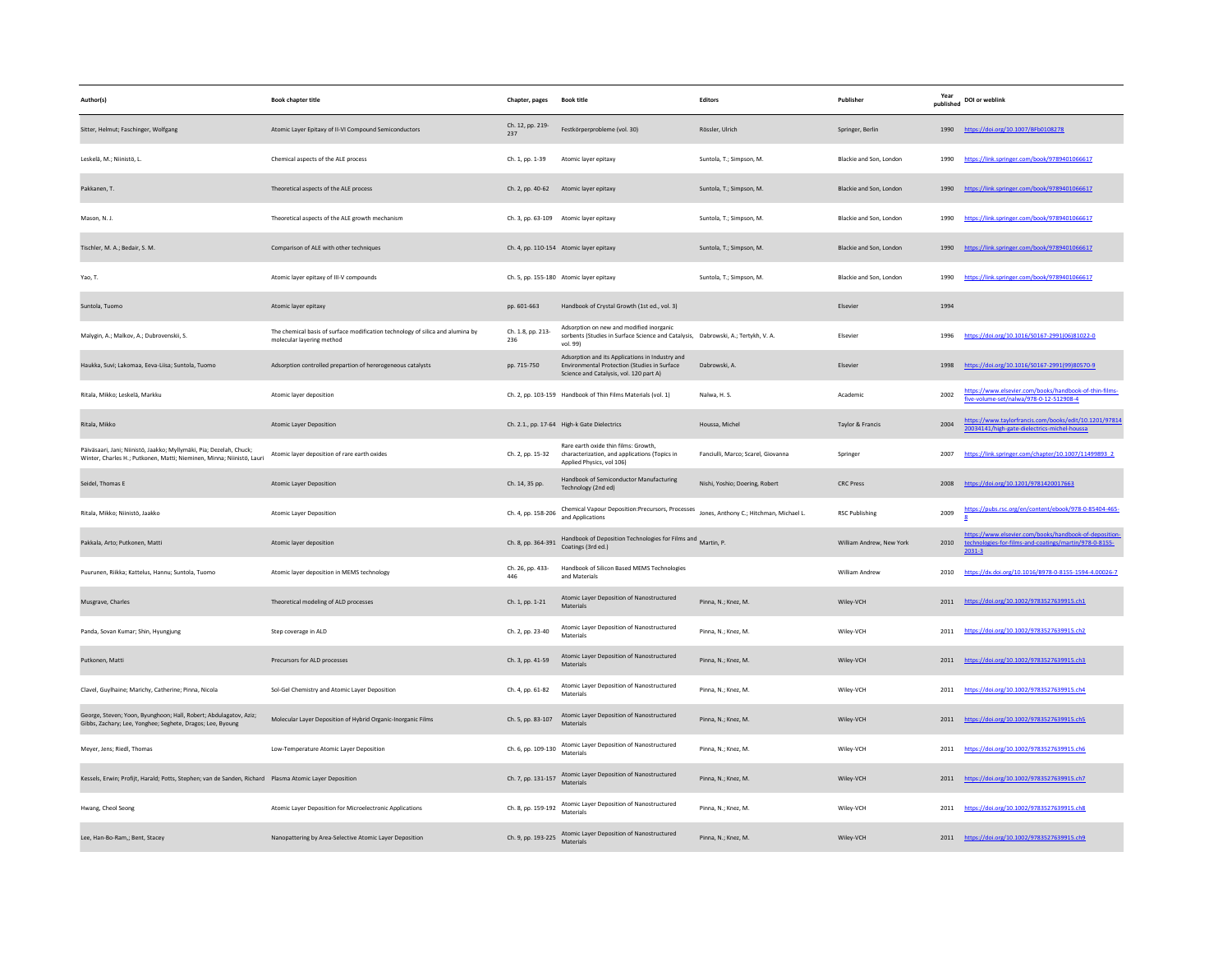| Author(s)                                                                                                                                    | <b>Book chapter title</b>                                                                                   | Chapter, pages           | <b>Book title</b>                                                                                                                          | Editors                            | Publisher                | Year<br>published | DOI or weblink                                                                                                            |
|----------------------------------------------------------------------------------------------------------------------------------------------|-------------------------------------------------------------------------------------------------------------|--------------------------|--------------------------------------------------------------------------------------------------------------------------------------------|------------------------------------|--------------------------|-------------------|---------------------------------------------------------------------------------------------------------------------------|
| Sitter, Helmut; Faschinger, Wolfgang                                                                                                         | Atomic Layer Epitaxy of II-VI Compound Semiconductors                                                       | Ch. 12, pp. 219-<br>237  | Festkörperprobleme (vol. 30)                                                                                                               | Rössler, Ulrich                    | Springer, Berlin         |                   | 1990 https://doi.org/10.1007/BFb0108278                                                                                   |
| Leskelä, M.; Niinistö, L.                                                                                                                    | Chemical aspects of the ALE process                                                                         | Ch. 1, pp. 1-39          | Atomic layer epitaxy                                                                                                                       | Suntola, T.; Simpson, M.           | Blackie and Son, London  | 1990              | https://link.springer.com/book/9789401066617                                                                              |
| Pakkanen. T.                                                                                                                                 | Theoretical aspects of the ALE process                                                                      |                          | Ch. 2, pp. 40-62 Atomic layer epitaxy                                                                                                      | Suntola, T.: Simpson, M.           | Blackie and Son, London  |                   | 1990 https://link.springer.com/book/9789401066617                                                                         |
| Mason, N. J.                                                                                                                                 | Theoretical aspects of the ALE growth mechanism                                                             |                          | Ch. 3, pp. 63-109 Atomic layer epitaxy                                                                                                     | Suntola, T.; Simpson, M.           | Blackie and Son, London  | 1990              | https://link.springer.com/book/9789401066617                                                                              |
| Tischler, M. A.; Bedair, S. M.                                                                                                               | Comparison of ALE with other techniques                                                                     |                          | Ch. 4, pp. 110-154 Atomic layer epitaxy                                                                                                    | Suntola, T.; Simpson, M.           | Blackie and Son, London  | 1990              | https://link.springer.com/book/9789401066617                                                                              |
| Yao. T.                                                                                                                                      | Atomic layer epitaxy of III-V compounds                                                                     |                          | Ch. 5, pp. 155-180 Atomic layer epitaxy                                                                                                    | Suntola, T.; Simpson, M.           | Blackie and Son, London  | 1990              | https://link.springer.com/book/9789401066617                                                                              |
| Suntola, Tuomo                                                                                                                               | Atomic layer epitaxy                                                                                        | pp. 601-663              | Handbook of Crystal Growth (1st ed., vol. 3)                                                                                               |                                    | Elsevier                 | 1994              |                                                                                                                           |
| Malygin, A.; Malkov, A.; Dubrovenskii, S.                                                                                                    | The chemical basis of surface modification technology of silica and alumina by<br>molecular layering method | Ch. 1.8, pp. 213-<br>236 | Adsorption on new and modified inorganic<br>sorbents (Studies in Surface Science and Catalysis, Dabrowski, A.; Tertykh, V. A.<br>vol. 99)  |                                    | Elsevier                 | 1996              | https://doi.org/10.1016/S0167-2991(06)81022-0                                                                             |
| Haukka, Suvi; Lakomaa, Eeva-Liisa; Suntola, Tuomo                                                                                            | Adsorption controlled prepartion of hererogeneous catalysts                                                 | pp. 715-750              | Adsorption and its Applications in Industry and<br>Environmental Protection (Studies in Surface<br>Science and Catalysis, vol. 120 part A) | Dabrowski, A.                      | Elsevier                 | 1998              | https://doi.org/10.1016/S0167-2991(99)80570-9                                                                             |
| Ritala, Mikko: Leskelä, Markku                                                                                                               | Atomic layer deposition                                                                                     |                          | Ch. 2. pp. 103-159 Handbook of Thin Films Materials (vol. 1)                                                                               | Nalwa, H. S.                       | Academic                 | 2002              | https://www.elsevier.com/books/handbook-of-thin-films-<br>five-volume-set/nalwa/978-0-12-512908-4                         |
| Ritala, Mikko                                                                                                                                | <b>Atomic Layer Deposition</b>                                                                              |                          | Ch. 2.1., pp. 17-64 High-k Gate Dielectrics                                                                                                | Houssa, Michel                     | Taylor & Francis         | 2004              | https://www.taylorfrancis.com/books/edit/10.1201/97814<br>20034141/high-gate-dielectrics-michel-houssa                    |
| Päiväsaari, Jani; Niinistö, Jaakko; Myllymäki, Pia; Dezelah, Chuck;<br>Winter, Charles H.; Putkonen, Matti; Nieminen, Minna; Niinistö, Lauri | Atomic layer deposition of rare earth oxides                                                                | Ch. 2, pp. 15-32         | Rare earth oxide thin films: Growth,<br>characterization, and applications (Topics in<br>Applied Physics, vol 106)                         | Fanciulli, Marco: Scarel, Giovanna | Springer                 | 2007              | https://link.springer.com/chapter/10.1007/11499893_2                                                                      |
| Seidel, Thomas E                                                                                                                             | <b>Atomic Layer Deposition</b>                                                                              | Ch. 14, 35 pp.           | Handbook of Semiconductor Manufacturing<br>Technology (2nd ed)                                                                             | Nishi, Yoshio; Doering, Robert     | <b>CRC Press</b>         | 2008              | https://doi.org/10.1201/9781420017663                                                                                     |
| Ritala. Mikko; Niinistö, Jaakko                                                                                                              | <b>Atomic Layer Deposition</b>                                                                              | Ch. 4, pp. 158-206       | Chemical Vapour Deposition:Precursors, Processes Jones, Anthony C.; Hitchman, Michael L.<br>and Applications                               |                                    | <b>RSC Publishing</b>    | 2009              | https://pubs.rsc.org/en/content/ebook/978-0-85404-465-                                                                    |
| Pakkala, Arto; Putkonen, Matti                                                                                                               | Atomic layer deposition                                                                                     | Ch. 8, pp. 364-391       | Handbook of Deposition Technologies for Films and Martin, P.<br>Coatings (3rd ed.)                                                         |                                    | William Andrew, New York | 2010              | https://www.elsevier.com/books/handbook-of-deposition<br>technologies-for-films-and-coatings/martin/978-0-8155-<br>2031-3 |
| Puurunen, Riikka; Kattelus, Hannu; Suntola, Tuomo                                                                                            | Atomic layer deposition in MEMS technology                                                                  | Ch. 26, pp. 433-<br>446  | Handbook of Silicon Based MEMS Technologies<br>and Materials                                                                               |                                    | <b>William Andrew</b>    | 2010              | https://dx.doi.org/10.1016/B978-0-8155-1594-4.00026-7                                                                     |
| Musgrave, Charles                                                                                                                            | Theoretical modeling of ALD processes                                                                       | Ch. 1, pp. 1-21          | Atomic Layer Deposition of Nanostructured<br>Materials                                                                                     | Pinna, N.; Knez, M.                | Wiley-VCH                |                   | 2011 https://doi.org/10.1002/9783527639915.ch1                                                                            |
| Panda, Sovan Kumar; Shin, Hyungjung                                                                                                          | Step coverage in ALD                                                                                        | Ch. 2, pp. 23-40         | Atomic Layer Deposition of Nanostructured<br>Materials                                                                                     | Pinna, N.; Knez, M.                | Wiley-VCH                |                   | 2011 https://doi.org/10.1002/9783527639915.ch2                                                                            |
| Putkonen, Matti                                                                                                                              | Precursors for ALD processes                                                                                | Ch. 3, pp. 41-59         | Atomic Layer Deposition of Nanostructured<br>Materials                                                                                     | Pinna, N.; Knez, M.                | Wiley-VCH                |                   | 2011 https://doi.org/10.1002/9783527639915.ch3                                                                            |
| Clavel, Guylhaine; Marichy, Catherine; Pinna, Nicola                                                                                         | Sol-Gel Chemistry and Atomic Layer Deposition                                                               | Ch. 4, pp. 61-82         | Atomic Layer Deposition of Nanostructured<br>Materials                                                                                     | Pinna, N.; Knez, M.                | Wiley-VCH                | 2011              | https://doi.org/10.1002/9783527639915.ch4                                                                                 |
| George, Steven; Yoon, Byunghoon; Hall, Robert; Abdulagatov, Aziz;<br>Gibbs, Zachary; Lee, Yonghee; Seghete, Dragos; Lee, Byoung              | Molecular Laver Deposition of Hybrid Organic-Inorganic Films                                                | Ch. 5, pp. 83-107        | Atomic Layer Deposition of Nanostructured<br>Materials                                                                                     | Pinna, N.; Knez, M.                | Wilev-VCH                |                   | 2011 https://doi.org/10.1002/9783527639915.ch5                                                                            |
| Meyer, Jens; Riedl, Thomas                                                                                                                   | Low-Temperature Atomic Layer Deposition                                                                     | Ch. 6, pp. 109-130       | Atomic Layer Deposition of Nanostructured<br>Materials                                                                                     | Pinna, N.; Knez, M.                | Wiley-VCH                | 2011              | https://doi.org/10.1002/9783527639915.ch6                                                                                 |
| Kessels, Erwin; Profijt, Harald; Potts, Stephen; van de Sanden, Richard Plasma Atomic Layer Deposition                                       |                                                                                                             | Ch. 7, pp. 131-157       | Atomic Layer Deposition of Nanostructured<br>Materials                                                                                     | Pinna, N.; Knez, M.                | Wiley-VCH                |                   | 2011 https://doi.org/10.1002/9783527639915.ch7                                                                            |
| Hwang, Cheol Seong                                                                                                                           | Atomic Layer Deposition for Microelectronic Applications                                                    | Ch. 8, pp. 159-192       | Atomic Layer Deposition of Nanostructured<br>Materials                                                                                     | Pinna, N.; Knez, M.                | Wiley-VCH                |                   | 2011 https://doi.org/10.1002/9783527639915.ch8                                                                            |
| Lee, Han-Bo-Ram,; Bent, Stacey                                                                                                               | Nanopattering by Area-Selective Atomic Layer Deposition                                                     | Ch. 9, pp. 193-225       | Atomic Layer Deposition of Nanostructured<br>Materials                                                                                     | Pinna, N.; Knez, M.                | Wiley-VCH                |                   | 2011 https://doi.org/10.1002/9783527639915.ch9                                                                            |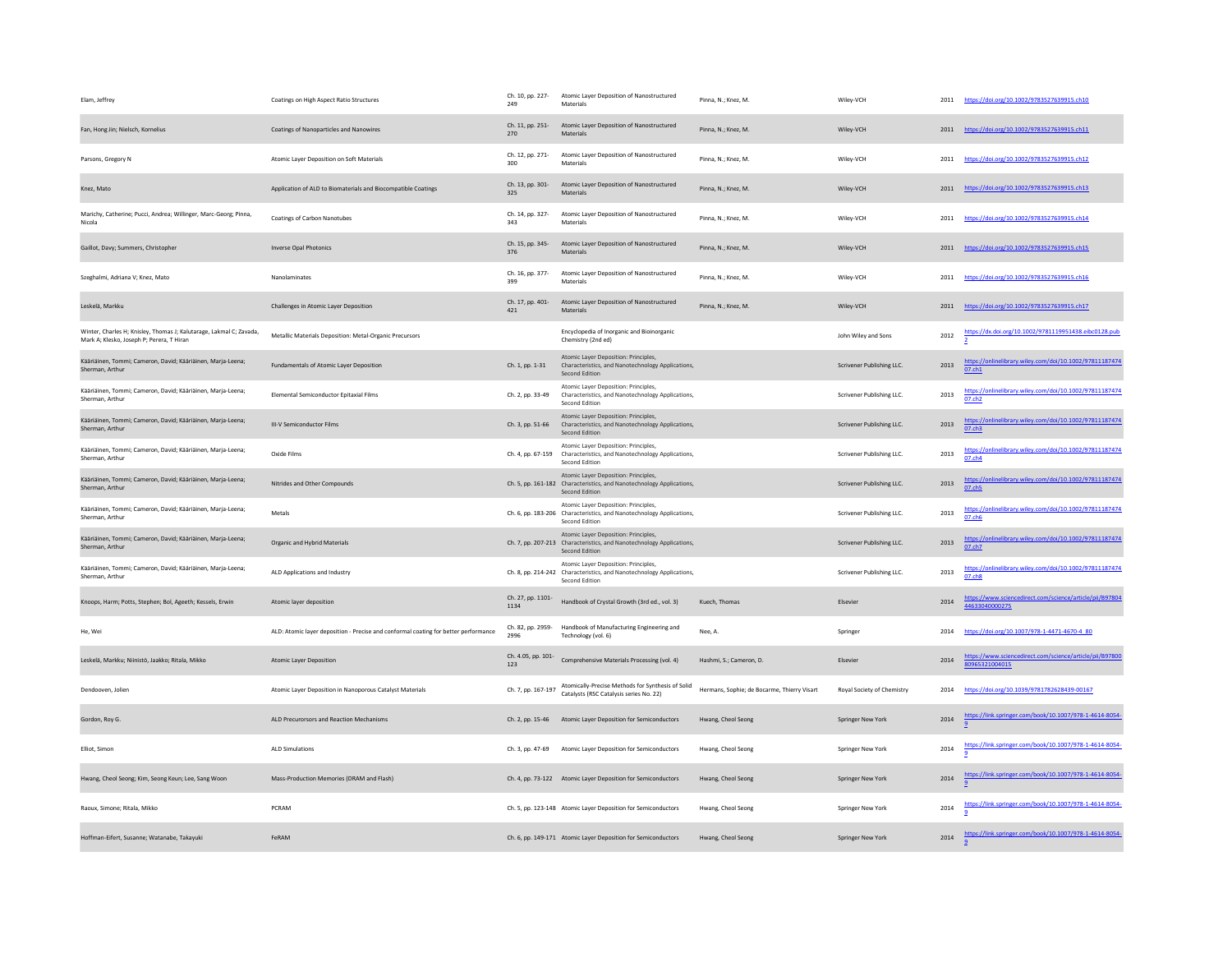| Elam, Jeffrey                                                                                                    | Coatings on High Aspect Ratio Structures                                            | Ch. 10, pp. 227-<br>249   | Atomic Layer Deposition of Nanostructured<br>Materials                                                                         | Pinna, N.: Knez, M.                         | Wiley-VCH                  | 2011 | https://doi.org/10.1002/9783527639915.ch10                                 |
|------------------------------------------------------------------------------------------------------------------|-------------------------------------------------------------------------------------|---------------------------|--------------------------------------------------------------------------------------------------------------------------------|---------------------------------------------|----------------------------|------|----------------------------------------------------------------------------|
| Fan, Hong Jin; Nielsch, Kornelius                                                                                | Coatings of Nanoparticles and Nanowires                                             | Ch. 11, pp. 251-<br>270   | Atomic Layer Deposition of Nanostructured<br>Materials                                                                         | Pinna, N.; Knez, M.                         | Wiley-VCH                  |      | 2011 https://doi.org/10.1002/9783527639915.ch11                            |
| Parsons, Gregory N                                                                                               | Atomic Layer Deposition on Soft Materials                                           | Ch. 12, pp. 271-<br>300   | Atomic Layer Deposition of Nanostructured<br>Materials                                                                         | Pinna, N.; Knez, M.                         | Wiley-VCH                  | 2011 | https://doi.org/10.1002/9783527639915.ch12                                 |
| Knez, Mato                                                                                                       | Application of ALD to Biomaterials and Biocompatible Coatings                       | Ch. 13, pp. 301-<br>325   | Atomic Layer Deposition of Nanostructured<br>Materials                                                                         | Pinna, N.: Knez, M.                         | Wiley-VCH                  |      | 2011 https://doi.org/10.1002/9783527639915.ch13                            |
| Marichy, Catherine; Pucci, Andrea; Willinger, Marc-Georg; Pinna,<br>Nicola                                       | Coatings of Carbon Nanotubes                                                        | Ch. 14, pp. 327-<br>343   | Atomic Layer Deposition of Nanostructured<br>Materials                                                                         | Pinna, N.: Knez, M.                         | Wiley-VCH                  | 2011 | https://doi.org/10.1002/9783527639915.ch14                                 |
| Gaillot, Davy; Summers, Christopher                                                                              | <b>Inverse Opal Photonics</b>                                                       | Ch. 15, pp. 345-<br>376   | Atomic Layer Deposition of Nanostructured<br><b>Materials</b>                                                                  | Pinna, N.; Knez, M.                         | Wiley-VCH                  |      | 2011 https://doi.org/10.1002/9783527639915.ch15                            |
| Szeghalmi, Adriana V; Knez, Mato                                                                                 | Nanolaminates                                                                       | Ch. 16, pp. 377-<br>399   | Atomic Layer Deposition of Nanostructured<br>Materials                                                                         | Pinna, N.: Knez, M.                         | Wiley-VCH                  | 2011 | https://doi.org/10.1002/9783527639915.ch16                                 |
| Leskelä, Markku                                                                                                  | Challenges in Atomic Layer Deposition                                               | Ch. 17, pp. 401-<br>421   | Atomic Layer Deposition of Nanostructured<br>Materials                                                                         | Pinna, N.; Knez, M.                         | Wiley-VCH                  |      | 2011 https://doi.org/10.1002/9783527639915.ch17                            |
| Winter, Charles H; Knisley, Thomas J; Kalutarage, Lakmal C; Zavada,<br>Mark A; Klesko, Joseph P; Perera, T Hiran | Metallic Materials Deposition: Metal-Organic Precursors                             |                           | Encyclopedia of Inorganic and Bioinorganic<br>Chemistry (2nd ed)                                                               |                                             | John Wiley and Sons        | 2012 | https://dx.doi.org/10.1002/9781119951438.eibc0128.pub                      |
| Kääriäinen, Tommi; Cameron, David; Kääriäinen, Marja-Leena;<br>Sherman, Arthur                                   | Fundamentals of Atomic Layer Deposition                                             | Ch. 1, pp. 1-31           | Atomic Laver Deposition: Principles.<br>Characteristics, and Nanotechnology Applications,<br>Second Edition                    |                                             | Scrivener Publishing LLC.  | 2013 | https://onlinelibrary.wiley.com/doi/10.1002/97811187474<br>07.ch1          |
| Kääriäinen, Tommi; Cameron, David; Kääriäinen, Marja-Leena;<br>Sherman, Arthur                                   | Elemental Semiconductor Epitaxial Films                                             | Ch. 2, pp. 33-49          | Atomic Layer Deposition: Principles,<br>Characteristics, and Nanotechnology Applications,<br>Second Edition                    |                                             | Scrivener Publishing LLC.  | 2013 | https://onlinelibrary.wiley.com/doi/10.1002/97811187474<br>07.ch2          |
| Kääriäinen, Tommi: Cameron, David: Kääriäinen, Maria-Leena:<br>Sherman, Arthur                                   | <b>III-V Semiconductor Films</b>                                                    | Ch. 3, pp. 51-66          | Atomic Layer Deposition: Principles,<br>Characteristics, and Nanotechnology Applications,<br>Second Edition                    |                                             | Scrivener Publishing LLC.  | 2013 | https://onlinelibrary.wiley.com/doi/10.1002/97811187474<br>07.ch3          |
| Kääriäinen, Tommi; Cameron, David; Kääriäinen, Marja-Leena;<br>Sherman, Arthur                                   | Oxide Films                                                                         | Ch. 4, pp. 67-159         | Atomic Layer Deposition: Principles,<br>Characteristics, and Nanotechnology Applications,<br>Second Edition                    |                                             | Scrivener Publishing LLC.  | 2013 | https://onlinelibrary.wiley.com/doi/10.1002/97811187474<br>07.ch4          |
| Kääriäinen, Tommi; Cameron, David; Kääriäinen, Marja-Leena;<br>Sherman, Arthur                                   | Nitrides and Other Compounds                                                        |                           | Atomic Layer Deposition: Principles,<br>Ch. 5, pp. 161-182 Characteristics, and Nanotechnology Applications,<br>Second Edition |                                             | Scrivener Publishing LLC.  | 2013 | https://onlinelibrary.wiley.com/doi/10.1002/97811187474<br>07.ch5          |
| Kääriäinen, Tommi; Cameron, David; Kääriäinen, Marja-Leena;<br>Sherman, Arthur                                   | Metals                                                                              |                           | Atomic Layer Deposition: Principles,<br>Ch. 6, pp. 183-206 Characteristics, and Nanotechnology Applications,<br>Second Edition |                                             | Scrivener Publishing LLC.  | 2013 | https://onlinelibrary.wiley.com/doi/10.1002/97811187474<br>07.ch6          |
| Kääriäinen, Tommi; Cameron, David; Kääriäinen, Marja-Leena;<br>Sherman, Arthur                                   | Organic and Hybrid Materials                                                        |                           | Atomic Layer Deposition: Principles,<br>Ch. 7, pp. 207-213 Characteristics, and Nanotechnology Applications,<br>Second Edition |                                             | Scrivener Publishing LLC.  | 2013 | https://onlinelibrary.wiley.com/doi/10.1002/97811187474<br>07.ch7          |
| Kääriäinen, Tommi; Cameron, David; Kääriäinen, Marja-Leena;<br>Sherman, Arthur                                   | ALD Applications and Industry                                                       |                           | Atomic Layer Deposition: Principles,<br>Ch. 8, pp. 214-242 Characteristics, and Nanotechnology Applications,<br>Second Edition |                                             | Scrivener Publishing LLC.  | 2013 | https://onlinelibrary.wiley.com/doi/10.1002/97811187474<br>07.ch8          |
| Knoops, Harm; Potts, Stephen; Bol, Ageeth; Kessels, Erwin                                                        | Atomic layer deposition                                                             | Ch. 27, pp. 1101-<br>1134 | Handbook of Crystal Growth (3rd ed., vol. 3)                                                                                   | Kuech, Thomas                               | Elsevier                   | 2014 | https://www.sciencedirect.com/science/article/pii/B97804<br>44633040000275 |
| He, Wei                                                                                                          | ALD: Atomic layer deposition - Precise and conformal coating for better performance | Ch. 82, pp. 2959-<br>2996 | Handbook of Manufacturing Engineering and<br>Technology (vol. 6)                                                               | Nee, A                                      | Springer                   | 2014 | https://doi.org/10.1007/978-1-4471-4670-4_80                               |
| Leskelä, Markku; Niinistö, Jaakko; Ritala, Mikko                                                                 | <b>Atomic Laver Deposition</b>                                                      | Ch. 4.05, pp. 101-<br>123 | Comprehensive Materials Processing (vol. 4)                                                                                    | Hashmi, S.; Cameron, D.                     | <b>F</b> lsevier           | 2014 | https://www.sciencedirect.com/science/article/pii/B97800<br>80965321004015 |
| Dendooven, Jolien                                                                                                | Atomic Laver Deposition in Nanoporous Catalyst Materials                            | Ch. 7, pp. 167-197        | Atomically-Precise Methods for Synthesis of Solid<br>Catalysts (RSC Catalysis series No. 22)                                   | Hermans, Sophie: de Bocarme, Thierry Visart | Royal Society of Chemistry | 2014 | https://doi.org/10.1039/9781782628439-00167                                |
| Gordon, Roy G.                                                                                                   | ALD Precurorsors and Reaction Mechanisms                                            |                           | Ch. 2, pp. 15-46 Atomic Layer Deposition for Semiconductors                                                                    | Hwang, Cheol Seong                          | Springer New York          | 2014 | https://link.springer.com/book/10.1007/978-1-4614-8054-                    |
| Elliot, Simon                                                                                                    | ALD Simulations                                                                     |                           | Ch. 3, pp. 47-69 Atomic Layer Deposition for Semiconductors                                                                    | Hwang, Cheol Seong                          | Springer New York          | 2014 | https://link.springer.com/book/10.1007/978-1-4614-8054-                    |
| Hwang, Cheol Seong; Kim, Seong Keun; Lee, Sang Woon                                                              | Mass-Production Memories (DRAM and Flash)                                           |                           | Ch. 4, pp. 73-122 Atomic Layer Deposition for Semiconductors                                                                   | Hwang, Cheol Seong                          | Springer New York          | 2014 | https://link.springer.com/book/10.1007/978-1-4614-8054-                    |
| Raoux, Simone; Ritala, Mikko                                                                                     | PCRAM                                                                               |                           | Ch. 5, pp. 123-148 Atomic Layer Deposition for Semiconductors                                                                  | Hwang, Cheol Seong                          | Springer New York          | 2014 | https://link.springer.com/book/10.1007/978-1-4614-8054-                    |
| Hoffman-Eifert, Susanne; Watanabe, Takayuki                                                                      | FeRAM                                                                               |                           | Ch. 6, pp. 149-171 Atomic Layer Deposition for Semiconductors                                                                  | Hwang, Cheol Seong                          | Springer New York          | 2014 | https://link.springer.com/book/10.1007/978-1-4614-8054-                    |